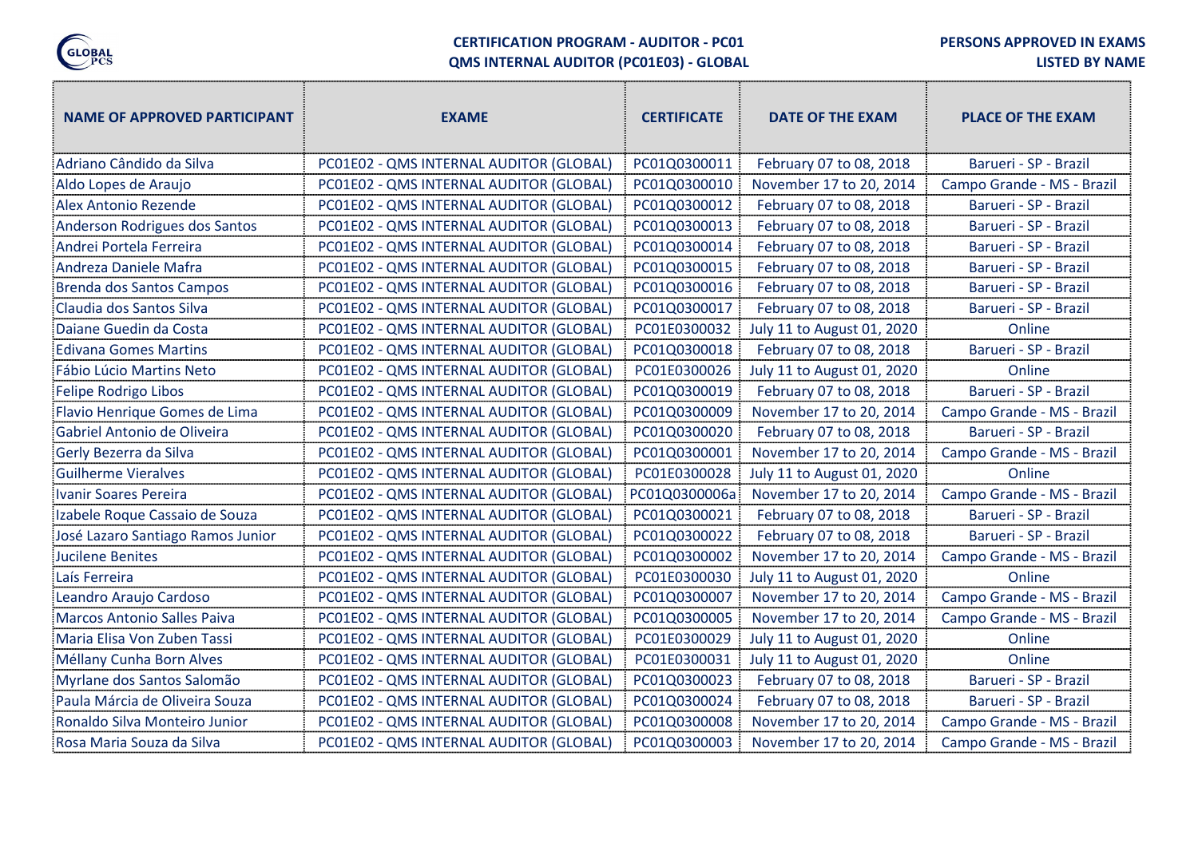

## CERTIFICATION PROGRAM - AUDITOR - PC01 QMS INTERNAL AUDITOR (PC01E03) - GLOBAL

PERSONS APPROVED IN EXAMS

LISTED BY NAME

""

| <b>NAME OF APPROVED PARTICIPANT</b> | <b>EXAME</b>                            | <b>CERTIFICATE</b> | DATE OF THE EXAM           | <b>PLACE OF THE EXAM</b>   |
|-------------------------------------|-----------------------------------------|--------------------|----------------------------|----------------------------|
| Adriano Cândido da Silva            | PC01E02 - QMS INTERNAL AUDITOR (GLOBAL) | PC01Q0300011       | February 07 to 08, 2018    | Barueri - SP - Brazil      |
| Aldo Lopes de Araujo                | PC01E02 - QMS INTERNAL AUDITOR (GLOBAL) | PC01Q0300010       | November 17 to 20, 2014    | Campo Grande - MS - Brazil |
| Alex Antonio Rezende                | PC01E02 - QMS INTERNAL AUDITOR (GLOBAL) | PC01Q0300012       | February 07 to 08, 2018    | Barueri - SP - Brazil      |
| Anderson Rodrigues dos Santos       | PC01E02 - QMS INTERNAL AUDITOR (GLOBAL) | PC01Q0300013       | February 07 to 08, 2018    | Barueri - SP - Brazil      |
| Andrei Portela Ferreira             | PC01E02 - QMS INTERNAL AUDITOR (GLOBAL) | PC01Q0300014       | February 07 to 08, 2018    | Barueri - SP - Brazil      |
| Andreza Daniele Mafra               | PC01E02 - QMS INTERNAL AUDITOR (GLOBAL) | PC01Q0300015       | February 07 to 08, 2018    | Barueri - SP - Brazil      |
| Brenda dos Santos Campos            | PC01E02 - QMS INTERNAL AUDITOR (GLOBAL) | PC01Q0300016       | February 07 to 08, 2018    | Barueri - SP - Brazil      |
| Claudia dos Santos Silva            | PC01E02 - QMS INTERNAL AUDITOR (GLOBAL) | PC01Q0300017       | February 07 to 08, 2018    | Barueri - SP - Brazil      |
| Daiane Guedin da Costa              | PC01E02 - QMS INTERNAL AUDITOR (GLOBAL) | PC01E0300032       | July 11 to August 01, 2020 | Online                     |
| <b>Edivana Gomes Martins</b>        | PC01E02 - QMS INTERNAL AUDITOR (GLOBAL) | PC01Q0300018       | February 07 to 08, 2018    | Barueri - SP - Brazil      |
| Fábio Lúcio Martins Neto            | PC01E02 - QMS INTERNAL AUDITOR (GLOBAL) | PC01E0300026       | July 11 to August 01, 2020 | Online                     |
| <b>Felipe Rodrigo Libos</b>         | PC01E02 - QMS INTERNAL AUDITOR (GLOBAL) | PC01Q0300019       | February 07 to 08, 2018    | Barueri - SP - Brazil      |
| Flavio Henrique Gomes de Lima       | PC01E02 - QMS INTERNAL AUDITOR (GLOBAL) | PC01Q0300009       | November 17 to 20, 2014    | Campo Grande - MS - Brazil |
| Gabriel Antonio de Oliveira         | PC01E02 - QMS INTERNAL AUDITOR (GLOBAL) | PC01Q0300020       | February 07 to 08, 2018    | Barueri - SP - Brazil      |
| Gerly Bezerra da Silva              | PC01E02 - QMS INTERNAL AUDITOR (GLOBAL) | PC01Q0300001       | November 17 to 20, 2014    | Campo Grande - MS - Brazil |
| <b>Guilherme Vieralves</b>          | PC01E02 - QMS INTERNAL AUDITOR (GLOBAL) | PC01E0300028       | July 11 to August 01, 2020 | Online                     |
| Ivanir Soares Pereira               | PC01E02 - QMS INTERNAL AUDITOR (GLOBAL) | PC01Q0300006a      | November 17 to 20, 2014    | Campo Grande - MS - Brazil |
| Izabele Roque Cassaio de Souza      | PC01E02 - QMS INTERNAL AUDITOR (GLOBAL) | PC01Q0300021       | February 07 to 08, 2018    | Barueri - SP - Brazil      |
| José Lazaro Santiago Ramos Junior   | PC01E02 - QMS INTERNAL AUDITOR (GLOBAL) | PC01Q0300022       | February 07 to 08, 2018    | Barueri - SP - Brazil      |
| <b>Jucilene Benites</b>             | PC01E02 - QMS INTERNAL AUDITOR (GLOBAL) | PC01Q0300002       | November 17 to 20, 2014    | Campo Grande - MS - Brazil |
| Laís Ferreira                       | PC01E02 - QMS INTERNAL AUDITOR (GLOBAL) | PC01E0300030       | July 11 to August 01, 2020 | Online                     |
| Leandro Araujo Cardoso              | PC01E02 - QMS INTERNAL AUDITOR (GLOBAL) | PC01Q0300007       | November 17 to 20, 2014    | Campo Grande - MS - Brazil |
| <b>Marcos Antonio Salles Paiva</b>  | PC01E02 - QMS INTERNAL AUDITOR (GLOBAL) | PC01Q0300005       | November 17 to 20, 2014    | Campo Grande - MS - Brazil |
| Maria Elisa Von Zuben Tassi         | PC01E02 - QMS INTERNAL AUDITOR (GLOBAL) | PC01E0300029       | July 11 to August 01, 2020 | Online                     |
| Méllany Cunha Born Alves            | PC01E02 - QMS INTERNAL AUDITOR (GLOBAL) | PC01E0300031       | July 11 to August 01, 2020 | Online                     |
| Myrlane dos Santos Salomão          | PC01E02 - QMS INTERNAL AUDITOR (GLOBAL) | PC01Q0300023       | February 07 to 08, 2018    | Barueri - SP - Brazil      |
| Paula Márcia de Oliveira Souza      | PC01E02 - QMS INTERNAL AUDITOR (GLOBAL) | PC01Q0300024       | February 07 to 08, 2018    | Barueri - SP - Brazil      |
| Ronaldo Silva Monteiro Junior       | PC01E02 - QMS INTERNAL AUDITOR (GLOBAL) | PC01Q0300008       | November 17 to 20, 2014    | Campo Grande - MS - Brazil |
| Rosa Maria Souza da Silva           | PC01E02 - QMS INTERNAL AUDITOR (GLOBAL) | PC01Q0300003       | November 17 to 20, 2014    | Campo Grande - MS - Brazil |